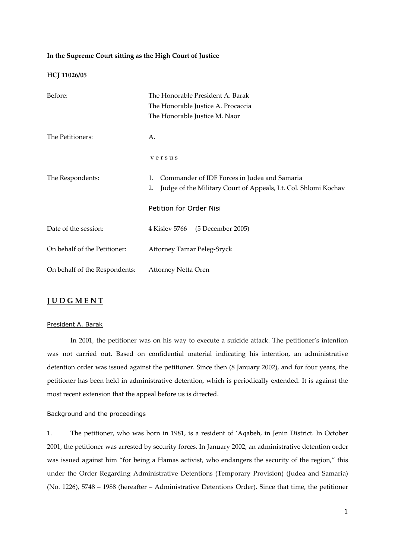## **In the Supreme Court sitting as the High Court of Justice**

#### **HCJ 11026/05**

| Before:                       | The Honorable President A. Barak<br>The Honorable Justice A. Procaccia                                                     |
|-------------------------------|----------------------------------------------------------------------------------------------------------------------------|
|                               | The Honorable Justice M. Naor                                                                                              |
| The Petitioners:              | А.                                                                                                                         |
|                               | versus                                                                                                                     |
| The Respondents:              | Commander of IDF Forces in Judea and Samaria<br>1.<br>Judge of the Military Court of Appeals, Lt. Col. Shlomi Kochav<br>2. |
|                               | Petition for Order Nisi                                                                                                    |
| Date of the session:          | 4 Kislev 5766<br>(5 December 2005)                                                                                         |
| On behalf of the Petitioner:  | <b>Attorney Tamar Peleg-Sryck</b>                                                                                          |
| On behalf of the Respondents: | Attorney Netta Oren                                                                                                        |

# **J U D G M E N T**

### President A. Barak

 In 2001, the petitioner was on his way to execute a suicide attack. The petitioner's intention was not carried out. Based on confidential material indicating his intention, an administrative detention order was issued against the petitioner. Since then (8 January 2002), and for four years, the petitioner has been held in administrative detention, which is periodically extended. It is against the most recent extension that the appeal before us is directed.

## Background and the proceedings

1. The petitioner, who was born in 1981, is a resident of 'Aqabeh, in Jenin District. In October 2001, the petitioner was arrested by security forces. In January 2002, an administrative detention order was issued against him "for being a Hamas activist, who endangers the security of the region," this under the Order Regarding Administrative Detentions (Temporary Provision) (Judea and Samaria) (No. 1226), 5748 – 1988 (hereafter – Administrative Detentions Order). Since that time, the petitioner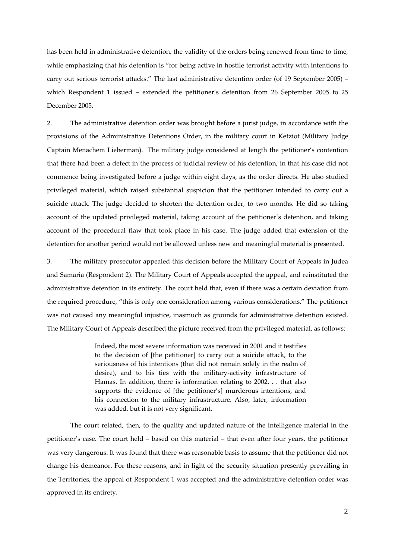has been held in administrative detention, the validity of the orders being renewed from time to time, while emphasizing that his detention is "for being active in hostile terrorist activity with intentions to carry out serious terrorist attacks." The last administrative detention order (of 19 September 2005) – which Respondent 1 issued – extended the petitioner's detention from 26 September 2005 to 25 December 2005.

2. The administrative detention order was brought before a jurist judge, in accordance with the provisions of the Administrative Detentions Order, in the military court in Ketziot (Military Judge Captain Menachem Lieberman). The military judge considered at length the petitioner's contention that there had been a defect in the process of judicial review of his detention, in that his case did not commence being investigated before a judge within eight days, as the order directs. He also studied privileged material, which raised substantial suspicion that the petitioner intended to carry out a suicide attack. The judge decided to shorten the detention order, to two months. He did so taking account of the updated privileged material, taking account of the petitioner's detention, and taking account of the procedural flaw that took place in his case. The judge added that extension of the detention for another period would not be allowed unless new and meaningful material is presented.

3. The military prosecutor appealed this decision before the Military Court of Appeals in Judea and Samaria (Respondent 2). The Military Court of Appeals accepted the appeal, and reinstituted the administrative detention in its entirety. The court held that, even if there was a certain deviation from the required procedure, "this is only one consideration among various considerations." The petitioner was not caused any meaningful injustice, inasmuch as grounds for administrative detention existed. The Military Court of Appeals described the picture received from the privileged material, as follows:

> Indeed, the most severe information was received in 2001 and it testifies to the decision of [the petitioner] to carry out a suicide attack, to the seriousness of his intentions (that did not remain solely in the realm of desire), and to his ties with the military-activity infrastructure of Hamas. In addition, there is information relating to 2002. . . that also supports the evidence of [the petitioner's] murderous intentions, and his connection to the military infrastructure. Also, later, information was added, but it is not very significant.

 The court related, then, to the quality and updated nature of the intelligence material in the petitioner's case. The court held – based on this material – that even after four years, the petitioner was very dangerous. It was found that there was reasonable basis to assume that the petitioner did not change his demeanor. For these reasons, and in light of the security situation presently prevailing in the Territories, the appeal of Respondent 1 was accepted and the administrative detention order was approved in its entirety.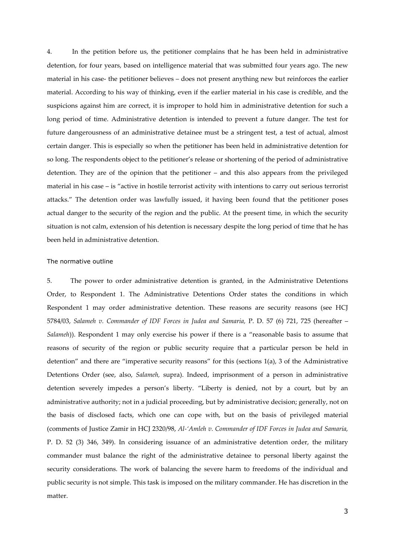4. In the petition before us, the petitioner complains that he has been held in administrative detention, for four years, based on intelligence material that was submitted four years ago. The new material in his case- the petitioner believes – does not present anything new but reinforces the earlier material. According to his way of thinking, even if the earlier material in his case is credible, and the suspicions against him are correct, it is improper to hold him in administrative detention for such a long period of time. Administrative detention is intended to prevent a future danger. The test for future dangerousness of an administrative detainee must be a stringent test, a test of actual, almost certain danger. This is especially so when the petitioner has been held in administrative detention for so long. The respondents object to the petitioner's release or shortening of the period of administrative detention. They are of the opinion that the petitioner – and this also appears from the privileged material in his case – is "active in hostile terrorist activity with intentions to carry out serious terrorist attacks." The detention order was lawfully issued, it having been found that the petitioner poses actual danger to the security of the region and the public. At the present time, in which the security situation is not calm, extension of his detention is necessary despite the long period of time that he has been held in administrative detention.

## The normative outline

5. The power to order administrative detention is granted, in the Administrative Detentions Order, to Respondent 1. The Administrative Detentions Order states the conditions in which Respondent 1 may order administrative detention. These reasons are security reasons (see HCJ 5784/03, *Salameh v. Commander of IDF Forces in Judea and Samaria,* P. D. 57 (6) 721, 725 (hereafter – *Salameh*)). Respondent 1 may only exercise his power if there is a "reasonable basis to assume that reasons of security of the region or public security require that a particular person be held in detention" and there are "imperative security reasons" for this (sections 1(a), 3 of the Administrative Detentions Order (see, also, *Salameh,* supra). Indeed, imprisonment of a person in administrative detention severely impedes a person's liberty. "Liberty is denied, not by a court, but by an administrative authority; not in a judicial proceeding, but by administrative decision; generally, not on the basis of disclosed facts, which one can cope with, but on the basis of privileged material (comments of Justice Zamir in HCJ 2320/98, *Al-'Amleh v. Commander of IDF Forces in Judea and Samaria,*  P. D. 52 (3) 346, 349). In considering issuance of an administrative detention order, the military commander must balance the right of the administrative detainee to personal liberty against the security considerations. The work of balancing the severe harm to freedoms of the individual and public security is not simple. This task is imposed on the military commander. He has discretion in the matter.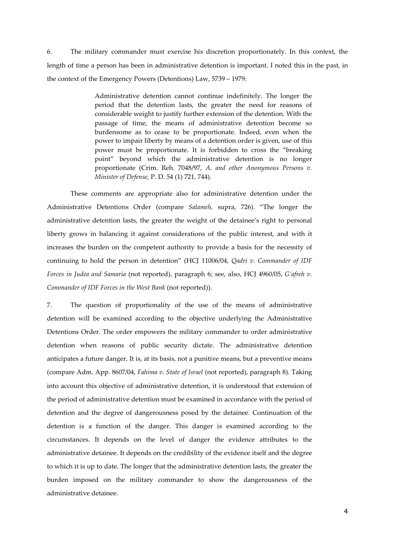6. The military commander must exercise his discretion proportionately. In this context, the length of time a person has been in administrative detention is important. I noted this in the past, in the context of the Emergency Powers (Detentions) Law, 5739 – 1979:

> Administrative detention cannot continue indefinitely. The longer the period that the detention lasts, the greater the need for reasons of considerable weight to justify further extension of the detention. With the passage of time, the means of administrative detention become so burdensome as to cease to be proportionate. Indeed, even when the power to impair liberty by means of a detention order is given, use of this power must be proportionate. It is forbidden to cross the "breaking point" beyond which the administrative detention is no longer proportionate (Crim. Reh. 7048/97, *A. and other Anonymous Persons v. Minister of Defense,* P. D. 54 (1) 721, 744).

 These comments are appropriate also for administrative detention under the Administrative Detentions Order (compare *Salameh,* supra, 726). "The longer the administrative detention lasts, the greater the weight of the detainee's right to personal liberty grows in balancing it against considerations of the public interest, and with it increases the burden on the competent authority to provide a basis for the necessity of continuing to hold the person in detention" (HCJ 11006/04, *Qadri v. Commander of IDF Forces in Judea and Samaria* (not reported), paragraph 6; see, also, HCJ 4960/05, *G'afreh v. Commander of IDF Forces in the West Bank* (not reported)).

7. The question of proportionality of the use of the means of administrative detention will be examined according to the objective underlying the Administrative Detentions Order. The order empowers the military commander to order administrative detention when reasons of public security dictate. The administrative detention anticipates a future danger. It is, at its basis, not a punitive means, but a preventive means (compare Adm. App. 8607/04, *Fahima v. State of Israel* (not reported), paragraph 8). Taking into account this objective of administrative detention, it is understood that extension of the period of administrative detention must be examined in accordance with the period of detention and the degree of dangerousness posed by the detainee. Continuation of the detention is a function of the danger. This danger is examined according to the circumstances. It depends on the level of danger the evidence attributes to the administrative detainee. It depends on the credibility of the evidence itself and the degree to which it is up to date. The longer that the administrative detention lasts, the greater the burden imposed on the military commander to show the dangerousness of the administrative detainee.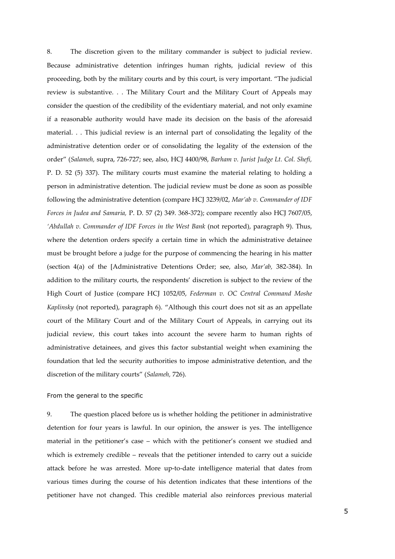8. The discretion given to the military commander is subject to judicial review. Because administrative detention infringes human rights, judicial review of this proceeding, both by the military courts and by this court, is very important. "The judicial review is substantive. . . The Military Court and the Military Court of Appeals may consider the question of the credibility of the evidentiary material, and not only examine if a reasonable authority would have made its decision on the basis of the aforesaid material. . . This judicial review is an internal part of consolidating the legality of the administrative detention order or of consolidating the legality of the extension of the order" (*Salameh,* supra, 726-727; see, also, HCJ 4400/98, *Barham v. Jurist Judge Lt. Col. Shefi,*  P. D. 52 (5) 337). The military courts must examine the material relating to holding a person in administrative detention. The judicial review must be done as soon as possible following the administrative detention (compare HCJ 3239/02, *Mar'ab v. Commander of IDF Forces in Judea and Samaria,* P. D. 57 (2) 349. 368-372); compare recently also HCJ 7607/05, *'Abdullah v. Commander of IDF Forces in the West Bank* (not reported), paragraph 9). Thus, where the detention orders specify a certain time in which the administrative detainee must be brought before a judge for the purpose of commencing the hearing in his matter (section 4(a) of the [Administrative Detentions Order; see, also, *Mar'ab,* 382-384). In addition to the military courts, the respondents' discretion is subject to the review of the High Court of Justice (compare HCJ 1052/05, *Federman v. OC Central Command Moshe Kaplinsky* (not reported), paragraph 6). "Although this court does not sit as an appellate court of the Military Court and of the Military Court of Appeals, in carrying out its judicial review, this court takes into account the severe harm to human rights of administrative detainees, and gives this factor substantial weight when examining the foundation that led the security authorities to impose administrative detention, and the discretion of the military courts" (*Salameh,* 726).

## From the general to the specific

9. The question placed before us is whether holding the petitioner in administrative detention for four years is lawful. In our opinion, the answer is yes. The intelligence material in the petitioner's case – which with the petitioner's consent we studied and which is extremely credible – reveals that the petitioner intended to carry out a suicide attack before he was arrested. More up-to-date intelligence material that dates from various times during the course of his detention indicates that these intentions of the petitioner have not changed. This credible material also reinforces previous material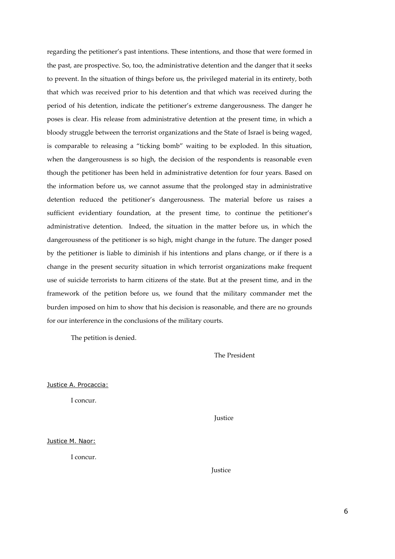regarding the petitioner's past intentions. These intentions, and those that were formed in the past, are prospective. So, too, the administrative detention and the danger that it seeks to prevent. In the situation of things before us, the privileged material in its entirety, both that which was received prior to his detention and that which was received during the period of his detention, indicate the petitioner's extreme dangerousness. The danger he poses is clear. His release from administrative detention at the present time, in which a bloody struggle between the terrorist organizations and the State of Israel is being waged, is comparable to releasing a "ticking bomb" waiting to be exploded. In this situation, when the dangerousness is so high, the decision of the respondents is reasonable even though the petitioner has been held in administrative detention for four years. Based on the information before us, we cannot assume that the prolonged stay in administrative detention reduced the petitioner's dangerousness. The material before us raises a sufficient evidentiary foundation, at the present time, to continue the petitioner's administrative detention. Indeed, the situation in the matter before us, in which the dangerousness of the petitioner is so high, might change in the future. The danger posed by the petitioner is liable to diminish if his intentions and plans change, or if there is a change in the present security situation in which terrorist organizations make frequent use of suicide terrorists to harm citizens of the state. But at the present time, and in the framework of the petition before us, we found that the military commander met the burden imposed on him to show that his decision is reasonable, and there are no grounds for our interference in the conclusions of the military courts.

The petition is denied.

The President

Justice A. Procaccia:

I concur.

**Justice** 

Justice M. Naor:

I concur.

Justice